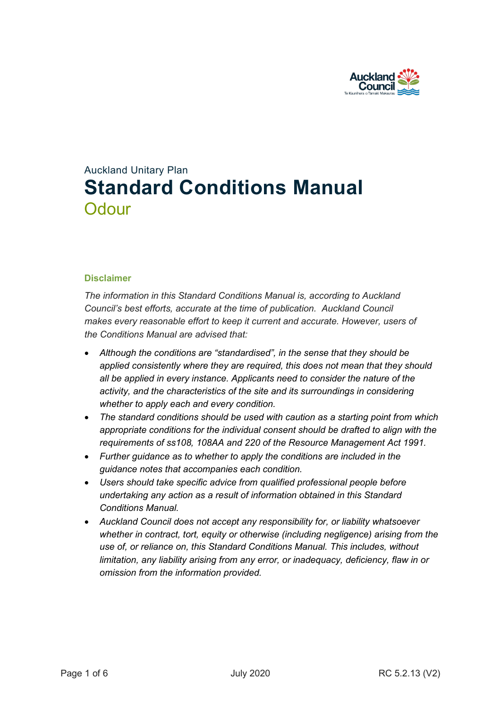

# Auckland Unitary Plan **Standard Conditions Manual Odour**

#### **Disclaimer**

*The information in this Standard Conditions Manual is, according to Auckland Council's best efforts, accurate at the time of publication. Auckland Council makes every reasonable effort to keep it current and accurate. However, users of the Conditions Manual are advised that:* 

- *Although the conditions are "standardised", in the sense that they should be applied consistently where they are required, this does not mean that they should all be applied in every instance. Applicants need to consider the nature of the activity, and the characteristics of the site and its surroundings in considering whether to apply each and every condition.*
- *The standard conditions should be used with caution as a starting point from which appropriate conditions for the individual consent should be drafted to align with the requirements of ss108, 108AA and 220 of the Resource Management Act 1991.*
- *Further guidance as to whether to apply the conditions are included in the guidance notes that accompanies each condition.*
- *Users should take specific advice from qualified professional people before undertaking any action as a result of information obtained in this Standard Conditions Manual.*
- *Auckland Council does not accept any responsibility for, or liability whatsoever whether in contract, tort, equity or otherwise (including negligence) arising from the use of, or reliance on, this Standard Conditions Manual. This includes, without limitation, any liability arising from any error, or inadequacy, deficiency, flaw in or omission from the information provided.*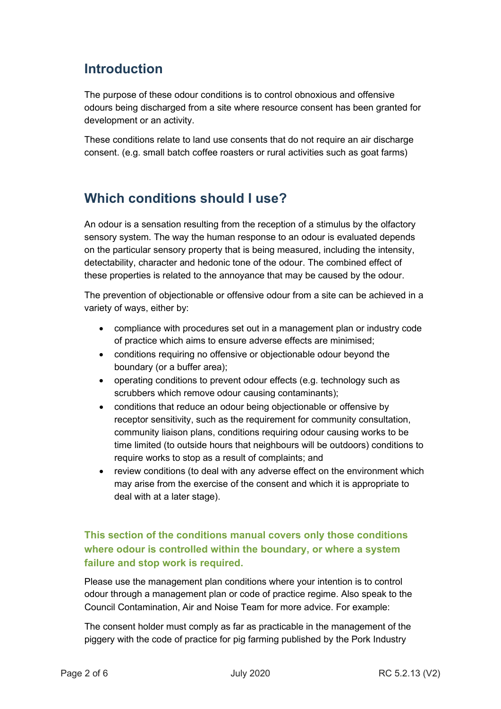# **Introduction**

The purpose of these odour conditions is to control obnoxious and offensive odours being discharged from a site where resource consent has been granted for development or an activity.

These conditions relate to land use consents that do not require an air discharge consent. (e.g. small batch coffee roasters or rural activities such as goat farms)

## **Which conditions should I use?**

An odour is a sensation resulting from the reception of a stimulus by the olfactory sensory system. The way the human response to an odour is evaluated depends on the particular sensory property that is being measured, including the intensity, detectability, character and hedonic tone of the odour. The combined effect of these properties is related to the annoyance that may be caused by the odour.

The prevention of objectionable or offensive odour from a site can be achieved in a variety of ways, either by:

- compliance with procedures set out in a management plan or industry code of practice which aims to ensure adverse effects are minimised;
- conditions requiring no offensive or objectionable odour beyond the boundary (or a buffer area);
- operating conditions to prevent odour effects (e.g. technology such as scrubbers which remove odour causing contaminants);
- conditions that reduce an odour being objectionable or offensive by receptor sensitivity, such as the requirement for community consultation, community liaison plans, conditions requiring odour causing works to be time limited (to outside hours that neighbours will be outdoors) conditions to require works to stop as a result of complaints; and
- review conditions (to deal with any adverse effect on the environment which may arise from the exercise of the consent and which it is appropriate to deal with at a later stage).

### **This section of the conditions manual covers only those conditions where odour is controlled within the boundary, or where a system failure and stop work is required.**

Please use the management plan conditions where your intention is to control odour through a management plan or code of practice regime. Also speak to the Council Contamination, Air and Noise Team for more advice. For example:

The consent holder must comply as far as practicable in the management of the piggery with the code of practice for pig farming published by the Pork Industry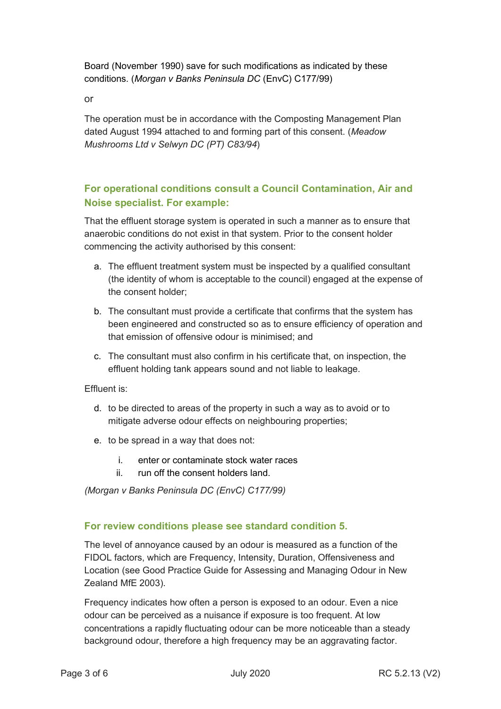Board (November 1990) save for such modifications as indicated by these conditions. (*Morgan v Banks Peninsula DC* (EnvC) C177/99)

or

The operation must be in accordance with the Composting Management Plan dated August 1994 attached to and forming part of this consent. (*Meadow Mushrooms Ltd v Selwyn DC (PT) C83/94*)

### **For operational conditions consult a Council Contamination, Air and Noise specialist. For example:**

That the effluent storage system is operated in such a manner as to ensure that anaerobic conditions do not exist in that system. Prior to the consent holder commencing the activity authorised by this consent:

- a. The effluent treatment system must be inspected by a qualified consultant (the identity of whom is acceptable to the council) engaged at the expense of the consent holder;
- b. The consultant must provide a certificate that confirms that the system has been engineered and constructed so as to ensure efficiency of operation and that emission of offensive odour is minimised; and
- c. The consultant must also confirm in his certificate that, on inspection, the effluent holding tank appears sound and not liable to leakage.

Effluent is:

- d. to be directed to areas of the property in such a way as to avoid or to mitigate adverse odour effects on neighbouring properties;
- e. to be spread in a way that does not:
	- i. enter or contaminate stock water races
	- ii. run off the consent holders land.

*(Morgan v Banks Peninsula DC (EnvC) C177/99)*

### **For review conditions please see standard condition 5.**

The level of annoyance caused by an odour is measured as a function of the FIDOL factors, which are Frequency, Intensity, Duration, Offensiveness and Location (see Good Practice Guide for Assessing and Managing Odour in New Zealand MfE 2003).

Frequency indicates how often a person is exposed to an odour. Even a nice odour can be perceived as a nuisance if exposure is too frequent. At low concentrations a rapidly fluctuating odour can be more noticeable than a steady background odour, therefore a high frequency may be an aggravating factor.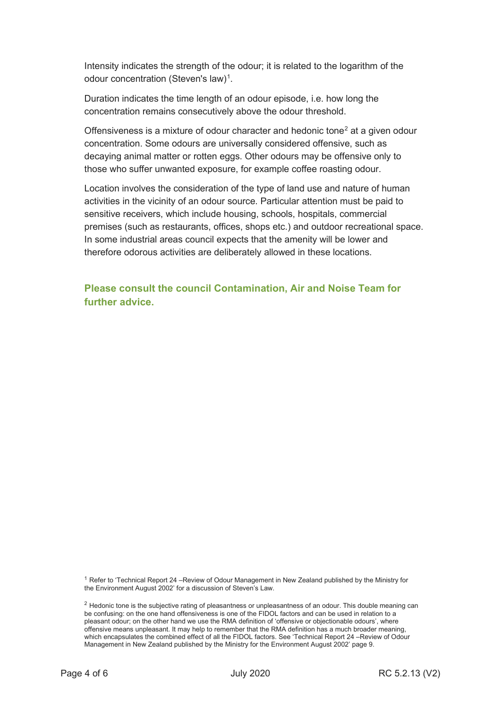Intensity indicates the strength of the odour; it is related to the logarithm of the odour concentration (Steven's law) $^{\rm 1}.$  $^{\rm 1}.$  $^{\rm 1}.$ 

Duration indicates the time length of an odour episode, i.e. how long the concentration remains consecutively above the odour threshold.

Offensiveness is a mixture of odour character and hedonic tone<sup>[2](#page-3-1)</sup> at a given odour concentration. Some odours are universally considered offensive, such as decaying animal matter or rotten eggs. Other odours may be offensive only to those who suffer unwanted exposure, for example coffee roasting odour.

Location involves the consideration of the type of land use and nature of human activities in the vicinity of an odour source. Particular attention must be paid to sensitive receivers, which include housing, schools, hospitals, commercial premises (such as restaurants, offices, shops etc.) and outdoor recreational space. In some industrial areas council expects that the amenity will be lower and therefore odorous activities are deliberately allowed in these locations.

**Please consult the council Contamination, Air and Noise Team for further advice.**

<span id="page-3-0"></span><sup>1</sup> Refer to 'Technical Report 24 –Review of Odour Management in New Zealand published by the Ministry for the Environment August 2002' for a discussion of Steven's Law.

<span id="page-3-1"></span> $<sup>2</sup>$  Hedonic tone is the subjective rating of pleasantness or unpleasantness of an odour. This double meaning can</sup> be confusing: on the one hand offensiveness is one of the FIDOL factors and can be used in relation to a pleasant odour; on the other hand we use the RMA definition of 'offensive or objectionable odours', where offensive means unpleasant. It may help to remember that the RMA definition has a much broader meaning, which encapsulates the combined effect of all the FIDOL factors. See 'Technical Report 24 –Review of Odour Management in New Zealand published by the Ministry for the Environment August 2002' page 9.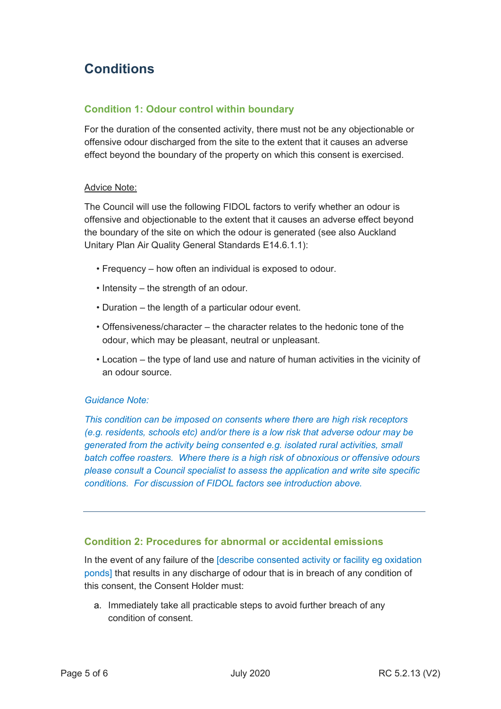# **Conditions**

### **Condition 1: Odour control within boundary**

For the duration of the consented activity, there must not be any objectionable or offensive odour discharged from the site to the extent that it causes an adverse effect beyond the boundary of the property on which this consent is exercised.

#### Advice Note:

The Council will use the following FIDOL factors to verify whether an odour is offensive and objectionable to the extent that it causes an adverse effect beyond the boundary of the site on which the odour is generated (see also Auckland Unitary Plan Air Quality General Standards E14.6.1.1):

- Frequency how often an individual is exposed to odour.
- Intensity the strength of an odour.
- Duration the length of a particular odour event.
- Offensiveness/character the character relates to the hedonic tone of the odour, which may be pleasant, neutral or unpleasant.
- Location the type of land use and nature of human activities in the vicinity of an odour source.

#### *Guidance Note:*

*This condition can be imposed on consents where there are high risk receptors (e.g. residents, schools etc) and/or there is a low risk that adverse odour may be generated from the activity being consented e.g. isolated rural activities, small batch coffee roasters. Where there is a high risk of obnoxious or offensive odours please consult a Council specialist to assess the application and write site specific conditions. For discussion of FIDOL factors see introduction above.* 

### **Condition 2: Procedures for abnormal or accidental emissions**

In the event of any failure of the [describe consented activity or facility eg oxidation ponds] that results in any discharge of odour that is in breach of any condition of this consent, the Consent Holder must:

a. Immediately take all practicable steps to avoid further breach of any condition of consent.